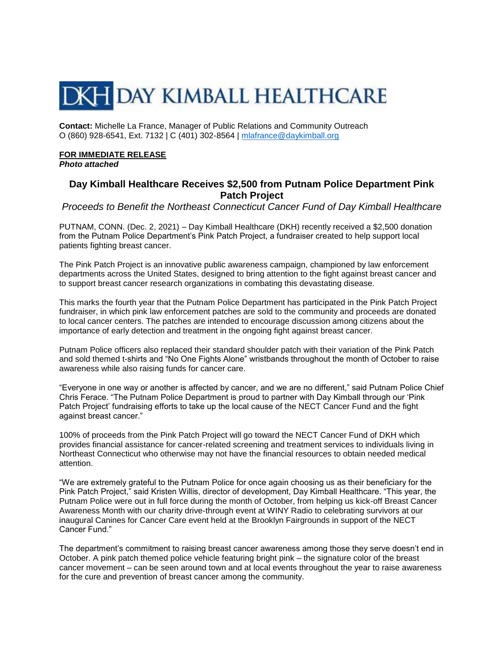## **DKH DAY KIMBALL HEALTHCARE**

**Contact:** Michelle La France, Manager of Public Relations and Community Outreach O (860) 928-6541, Ext. 7132 | C (401) 302-8564 | [mlafrance@daykimball.org](mailto:mlafrance@daykimball.org)

## **FOR IMMEDIATE RELEASE**

*Photo attached*

## **Day Kimball Healthcare Receives \$2,500 from Putnam Police Department Pink Patch Project**

*Proceeds to Benefit the Northeast Connecticut Cancer Fund of Day Kimball Healthcare*

PUTNAM, CONN. (Dec. 2, 2021) – Day Kimball Healthcare (DKH) recently received a \$2,500 donation from the Putnam Police Department's Pink Patch Project, a fundraiser created to help support local patients fighting breast cancer.

The Pink Patch Project is an innovative public awareness campaign, championed by law enforcement departments across the United States, designed to bring attention to the fight against breast cancer and to support breast cancer research organizations in combating this devastating disease.

This marks the fourth year that the Putnam Police Department has participated in the Pink Patch Project fundraiser, in which pink law enforcement patches are sold to the community and proceeds are donated to local cancer centers. The patches are intended to encourage discussion among citizens about the importance of early detection and treatment in the ongoing fight against breast cancer.

Putnam Police officers also replaced their standard shoulder patch with their variation of the Pink Patch and sold themed t-shirts and "No One Fights Alone" wristbands throughout the month of October to raise awareness while also raising funds for cancer care.

"Everyone in one way or another is affected by cancer, and we are no different," said Putnam Police Chief Chris Ferace. "The Putnam Police Department is proud to partner with Day Kimball through our 'Pink Patch Project' fundraising efforts to take up the local cause of the NECT Cancer Fund and the fight against breast cancer."

100% of proceeds from the Pink Patch Project will go toward the NECT Cancer Fund of DKH which provides financial assistance for cancer-related screening and treatment services to individuals living in Northeast Connecticut who otherwise may not have the financial resources to obtain needed medical attention.

"We are extremely grateful to the Putnam Police for once again choosing us as their beneficiary for the Pink Patch Project," said Kristen Willis, director of development, Day Kimball Healthcare. "This year, the Putnam Police were out in full force during the month of October, from helping us kick-off Breast Cancer Awareness Month with our charity drive-through event at WINY Radio to celebrating survivors at our inaugural Canines for Cancer Care event held at the Brooklyn Fairgrounds in support of the NECT Cancer Fund."

The department's commitment to raising breast cancer awareness among those they serve doesn't end in October. A pink patch themed police vehicle featuring bright pink – the signature color of the breast cancer movement – can be seen around town and at local events throughout the year to raise awareness for the cure and prevention of breast cancer among the community.